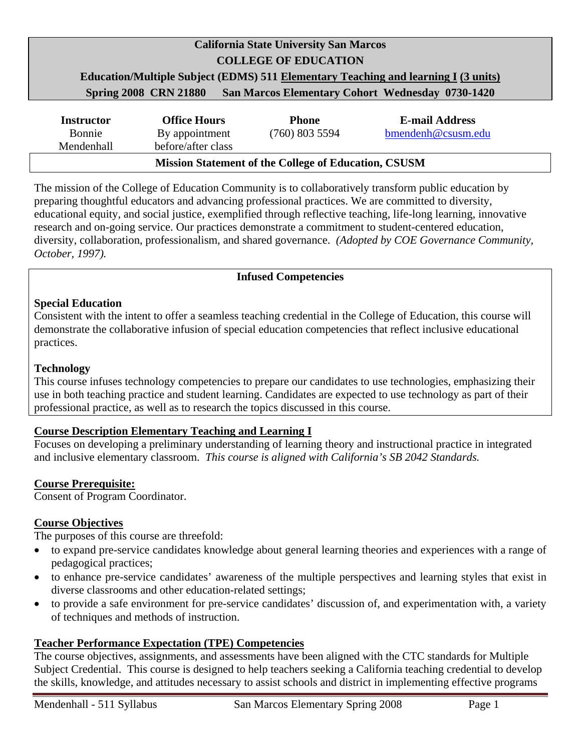# **California State University San Marcos COLLEGE OF EDUCATION Education/Multiple Subject (EDMS) 511 Elementary Teaching and learning I (3 units) Spring 2008 CRN 21880 San Marcos Elementary Cohort Wednesday 0730-1420**

| <b>Instructor</b>                                           | <b>Office Hours</b> | <b>Phone</b>     | <b>E-mail Address</b> |
|-------------------------------------------------------------|---------------------|------------------|-----------------------|
| Bonnie                                                      | By appointment      | $(760)$ 803 5594 | bmendenh@csusm.edu    |
| Mendenhall                                                  | before/after class  |                  |                       |
| <b>Mission Statement of the College of Education, CSUSM</b> |                     |                  |                       |

The mission of the College of Education Community is to collaboratively transform public education by preparing thoughtful educators and advancing professional practices. We are committed to diversity, educational equity, and social justice, exemplified through reflective teaching, life-long learning, innovative research and on-going service. Our practices demonstrate a commitment to student-centered education, diversity, collaboration, professionalism, and shared governance. *(Adopted by COE Governance Community, October, 1997).* 

#### **Infused Competencies**

#### **Special Education**

Consistent with the intent to offer a seamless teaching credential in the College of Education, this course will demonstrate the collaborative infusion of special education competencies that reflect inclusive educational practices.

#### **Technology**

This course infuses technology competencies to prepare our candidates to use technologies, emphasizing their use in both teaching practice and student learning. Candidates are expected to use technology as part of their professional practice, as well as to research the topics discussed in this course.

#### **Course Description Elementary Teaching and Learning I**

Focuses on developing a preliminary understanding of learning theory and instructional practice in integrated and inclusive elementary classroom. *This course is aligned with California's SB 2042 Standards.* 

#### **Course Prerequisite:**

Consent of Program Coordinator.

#### **Course Objectives**

The purposes of this course are threefold:

- to expand pre-service candidates knowledge about general learning theories and experiences with a range of pedagogical practices;
- to enhance pre-service candidates' awareness of the multiple perspectives and learning styles that exist in diverse classrooms and other education-related settings;
- to provide a safe environment for pre-service candidates' discussion of, and experimentation with, a variety of techniques and methods of instruction.

#### **Teacher Performance Expectation (TPE) Competencies**

The course objectives, assignments, and assessments have been aligned with the CTC standards for Multiple Subject Credential. This course is designed to help teachers seeking a California teaching credential to develop the skills, knowledge, and attitudes necessary to assist schools and district in implementing effective programs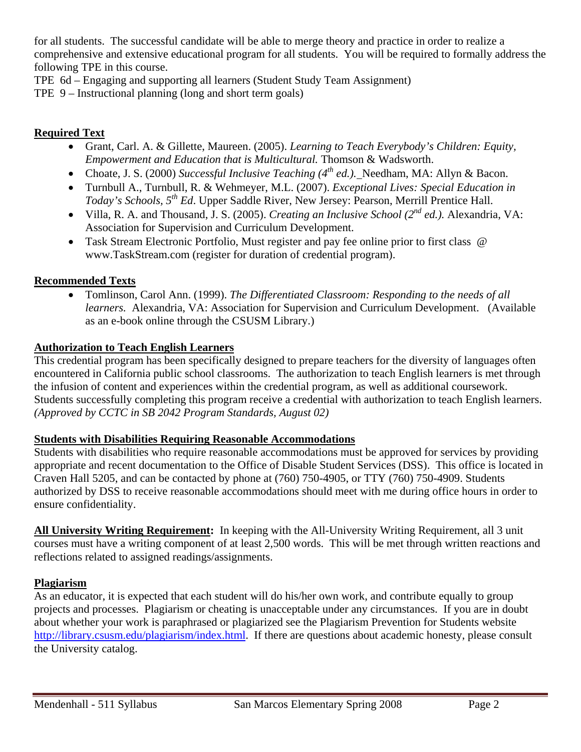for all students. The successful candidate will be able to merge theory and practice in order to realize a comprehensive and extensive educational program for all students. You will be required to formally address the following TPE in this course.

TPE 6d – Engaging and supporting all learners (Student Study Team Assignment)

TPE 9 – Instructional planning (long and short term goals)

#### **Required Text**

- Grant, Carl. A. & Gillette, Maureen. (2005). *Learning to Teach Everybody's Children: Equity, Empowerment and Education that is Multicultural.* Thomson & Wadsworth.
- Choate, J. S. (2000) *Successful Inclusive Teaching (4<sup>th</sup> ed.*). Needham, MA: Allyn & Bacon.
- Turnbull A., Turnbull, R. & Wehmeyer, M.L. (2007). *Exceptional Lives: Special Education in Today's Schools, 5th Ed*. Upper Saddle River, New Jersey: Pearson, Merrill Prentice Hall.
- Villa, R. A. and Thousand, J. S. (2005). *Creating an Inclusive School (2nd ed.).* Alexandria, VA: Association for Supervision and Curriculum Development.
- Task Stream Electronic Portfolio, Must register and pay fee online prior to first class @ www.TaskStream.com (register for duration of credential program).

#### **Recommended Texts**

• Tomlinson, Carol Ann. (1999). *The Differentiated Classroom: Responding to the needs of all learners.* Alexandria, VA: Association for Supervision and Curriculum Development. (Available as an e-book online through the CSUSM Library.)

## **Authorization to Teach English Learners**

This credential program has been specifically designed to prepare teachers for the diversity of languages often encountered in California public school classrooms. The authorization to teach English learners is met through the infusion of content and experiences within the credential program, as well as additional coursework. Students successfully completing this program receive a credential with authorization to teach English learners. *(Approved by CCTC in SB 2042 Program Standards, August 02)* 

#### **Students with Disabilities Requiring Reasonable Accommodations**

Students with disabilities who require reasonable accommodations must be approved for services by providing appropriate and recent documentation to the Office of Disable Student Services (DSS). This office is located in Craven Hall 5205, and can be contacted by phone at (760) 750-4905, or TTY (760) 750-4909. Students authorized by DSS to receive reasonable accommodations should meet with me during office hours in order to ensure confidentiality.

**All University Writing Requirement:** In keeping with the All-University Writing Requirement, all 3 unit courses must have a writing component of at least 2,500 words. This will be met through written reactions and reflections related to assigned readings/assignments.

## **Plagiarism**

As an educator, it is expected that each student will do his/her own work, and contribute equally to group projects and processes. Plagiarism or cheating is unacceptable under any circumstances. If you are in doubt about whether your work is paraphrased or plagiarized see the Plagiarism Prevention for Students website http://library.csusm.edu/plagiarism/index.html. If there are questions about academic honesty, please consult the University catalog.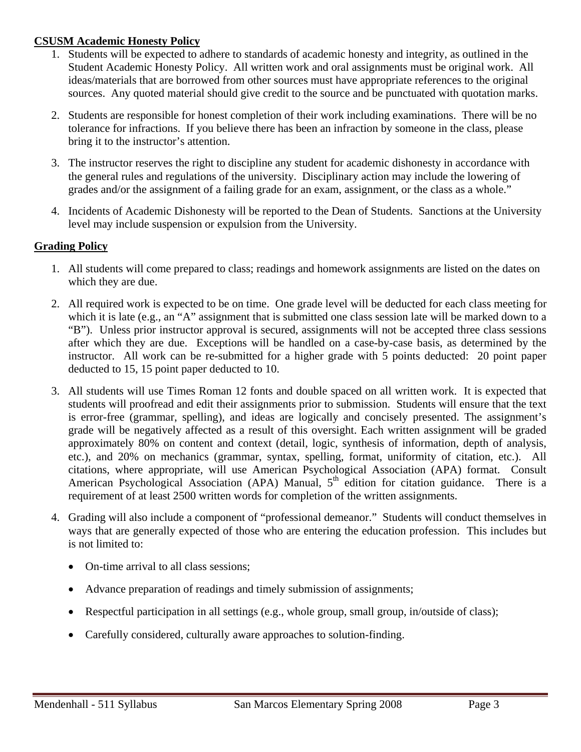#### **CSUSM Academic Honesty Policy**

- 1. Students will be expected to adhere to standards of academic honesty and integrity, as outlined in the Student Academic Honesty Policy. All written work and oral assignments must be original work. All ideas/materials that are borrowed from other sources must have appropriate references to the original sources. Any quoted material should give credit to the source and be punctuated with quotation marks.
- 2. Students are responsible for honest completion of their work including examinations. There will be no tolerance for infractions. If you believe there has been an infraction by someone in the class, please bring it to the instructor's attention.
- 3. The instructor reserves the right to discipline any student for academic dishonesty in accordance with the general rules and regulations of the university. Disciplinary action may include the lowering of grades and/or the assignment of a failing grade for an exam, assignment, or the class as a whole."
- 4. Incidents of Academic Dishonesty will be reported to the Dean of Students. Sanctions at the University level may include suspension or expulsion from the University.

## **Grading Policy**

- 1. All students will come prepared to class; readings and homework assignments are listed on the dates on which they are due.
- 2. All required work is expected to be on time. One grade level will be deducted for each class meeting for which it is late (e.g., an "A" assignment that is submitted one class session late will be marked down to a "B"). Unless prior instructor approval is secured, assignments will not be accepted three class sessions after which they are due. Exceptions will be handled on a case-by-case basis, as determined by the instructor. All work can be re-submitted for a higher grade with 5 points deducted: 20 point paper deducted to 15, 15 point paper deducted to 10.
- 3. All students will use Times Roman 12 fonts and double spaced on all written work. It is expected that students will proofread and edit their assignments prior to submission. Students will ensure that the text is error-free (grammar, spelling), and ideas are logically and concisely presented. The assignment's grade will be negatively affected as a result of this oversight. Each written assignment will be graded approximately 80% on content and context (detail, logic, synthesis of information, depth of analysis, etc.), and 20% on mechanics (grammar, syntax, spelling, format, uniformity of citation, etc.). All citations, where appropriate, will use American Psychological Association (APA) format. Consult American Psychological Association (APA) Manual,  $5<sup>th</sup>$  edition for citation guidance. There is a requirement of at least 2500 written words for completion of the written assignments.
- 4. Grading will also include a component of "professional demeanor." Students will conduct themselves in ways that are generally expected of those who are entering the education profession. This includes but is not limited to:
	- On-time arrival to all class sessions;
	- Advance preparation of readings and timely submission of assignments;
	- Respectful participation in all settings (e.g., whole group, small group, in/outside of class);
	- Carefully considered, culturally aware approaches to solution-finding.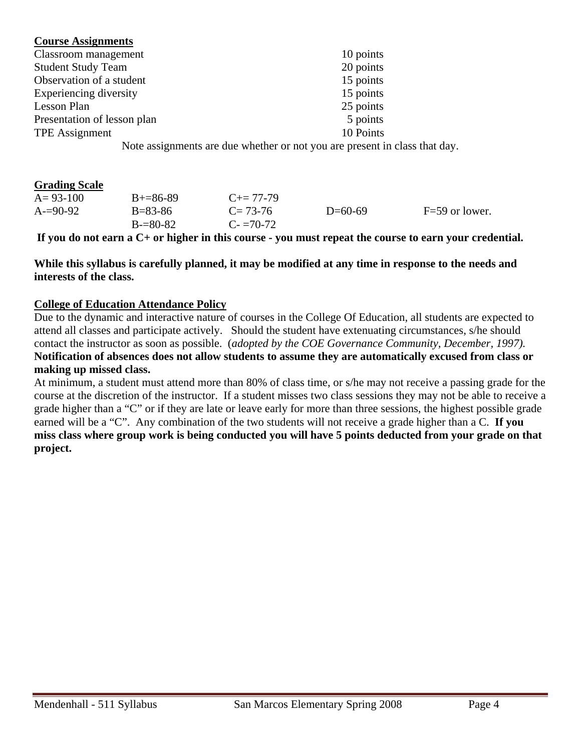#### **Course Assignments**

| Classroom management                                                                                                                             | 10 points |
|--------------------------------------------------------------------------------------------------------------------------------------------------|-----------|
| <b>Student Study Team</b>                                                                                                                        | 20 points |
| Observation of a student                                                                                                                         | 15 points |
| Experiencing diversity                                                                                                                           | 15 points |
| Lesson Plan                                                                                                                                      | 25 points |
| Presentation of lesson plan                                                                                                                      | 5 points  |
| <b>TPE</b> Assignment                                                                                                                            | 10 Points |
| $\mathbf{M}$ , the set of $\mathbf{M}$ , and the set of $\mathbf{M}$ , and $\mathbf{M}$ , and $\mathbf{M}$ , and $\mathbf{M}$ , and $\mathbf{M}$ |           |

Note assignments are due whether or not you are present in class that day.

#### **Grading Scale**

| $A = 93 - 100$ | $B+=86-89$    | $C_{\pm} = 77 - 79$ |           |                  |
|----------------|---------------|---------------------|-----------|------------------|
| $A = 90-92$    | $B = 83 - 86$ | $C = 73-76$         | $D=60-69$ | $F=59$ or lower. |
|                | $B = 80-82$   | $C = 70-72$         |           |                  |

**If you do not earn a C+ or higher in this course - you must repeat the course to earn your credential.** 

**While this syllabus is carefully planned, it may be modified at any time in response to the needs and interests of the class.** 

#### **College of Education Attendance Policy**

Due to the dynamic and interactive nature of courses in the College Of Education, all students are expected to attend all classes and participate actively. Should the student have extenuating circumstances, s/he should contact the instructor as soon as possible. (*adopted by the COE Governance Community, December, 1997).* **Notification of absences does not allow students to assume they are automatically excused from class or making up missed class.** 

At minimum, a student must attend more than 80% of class time, or s/he may not receive a passing grade for the course at the discretion of the instructor. If a student misses two class sessions they may not be able to receive a grade higher than a "C" or if they are late or leave early for more than three sessions, the highest possible grade earned will be a "C". Any combination of the two students will not receive a grade higher than a C. **If you miss class where group work is being conducted you will have 5 points deducted from your grade on that project.**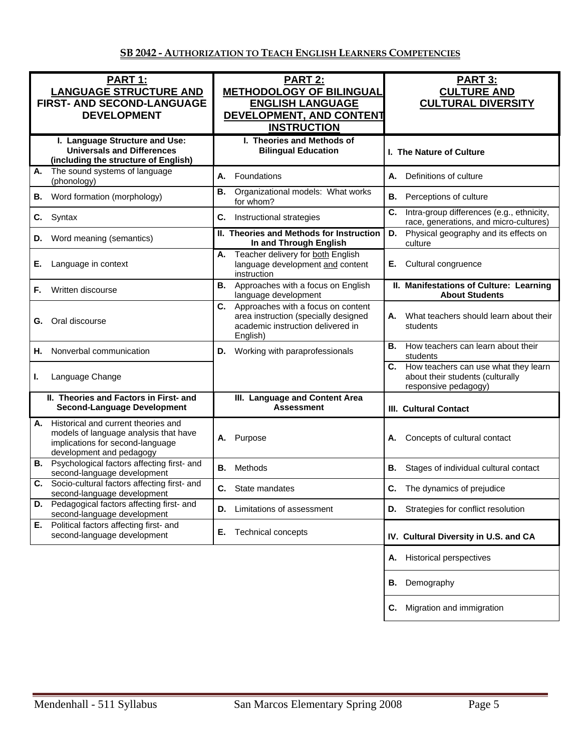| PART 1:<br><b>LANGUAGE STRUCTURE AND</b><br><b>FIRST- AND SECOND-LANGUAGE</b><br><b>DEVELOPMENT</b>                                                | <b>PART 2:</b><br><b>METHODOLOGY OF BILINGUAL</b><br><b>ENGLISH LANGUAGE</b><br>DEVELOPMENT, AND CONTENT<br><b>INSTRUCTION</b>    | <b>PART 3:</b><br><b>CULTURE AND</b><br><b>CULTURAL DIVERSITY</b>                                   |
|----------------------------------------------------------------------------------------------------------------------------------------------------|-----------------------------------------------------------------------------------------------------------------------------------|-----------------------------------------------------------------------------------------------------|
| I. Language Structure and Use:<br><b>Universals and Differences</b><br>(including the structure of English)                                        | I. Theories and Methods of<br><b>Bilingual Education</b>                                                                          | I. The Nature of Culture                                                                            |
| The sound systems of language<br>А.<br>(phonology)                                                                                                 | Foundations<br>А.                                                                                                                 | А.<br>Definitions of culture                                                                        |
| Word formation (morphology)<br>В.                                                                                                                  | Organizational models: What works<br>В.<br>for whom?                                                                              | В.<br>Perceptions of culture                                                                        |
| C.<br>Syntax                                                                                                                                       | C.<br>Instructional strategies                                                                                                    | C.<br>Intra-group differences (e.g., ethnicity,<br>race, generations, and micro-cultures)           |
| Word meaning (semantics)<br>D.                                                                                                                     | II. Theories and Methods for Instruction<br>In and Through English                                                                | Physical geography and its effects on<br>D.<br>culture                                              |
| Е.<br>Language in context                                                                                                                          | Teacher delivery for both English<br>А.<br>language development and content<br>instruction                                        | Cultural congruence<br>Е.                                                                           |
| Written discourse<br>F.                                                                                                                            | Approaches with a focus on English<br>В.<br>language development                                                                  | II. Manifestations of Culture: Learning<br><b>About Students</b>                                    |
| Oral discourse<br>G.                                                                                                                               | C.<br>Approaches with a focus on content<br>area instruction (specially designed<br>academic instruction delivered in<br>English) | What teachers should learn about their<br>А.<br>students                                            |
| Nonverbal communication<br>Н.                                                                                                                      | Working with paraprofessionals<br>D.                                                                                              | How teachers can learn about their<br>В.<br>students                                                |
| Language Change<br>ı.                                                                                                                              |                                                                                                                                   | C. How teachers can use what they learn<br>about their students (culturally<br>responsive pedagogy) |
| II. Theories and Factors in First- and<br><b>Second-Language Development</b>                                                                       | III. Language and Content Area<br><b>Assessment</b>                                                                               | <b>III. Cultural Contact</b>                                                                        |
| Historical and current theories and<br>А.<br>models of language analysis that have<br>implications for second-language<br>development and pedagogy | Purpose<br>А.                                                                                                                     | Concepts of cultural contact<br>А.                                                                  |
| Psychological factors affecting first- and<br>В.<br>second-language development                                                                    | Methods<br>В.                                                                                                                     | В.<br>Stages of individual cultural contact                                                         |
| Socio-cultural factors affecting first- and<br>C.<br>second-language development                                                                   | <b>C.</b> State mandates                                                                                                          | <b>C.</b> The dynamics of prejudice                                                                 |
| Pedagogical factors affecting first- and<br>D.<br>second-language development                                                                      | Limitations of assessment<br>D.                                                                                                   | Strategies for conflict resolution<br>D.                                                            |
| Political factors affecting first- and<br>Е.<br>second-language development                                                                        | Е.<br><b>Technical concepts</b>                                                                                                   | IV. Cultural Diversity in U.S. and CA                                                               |
|                                                                                                                                                    |                                                                                                                                   | <b>Historical perspectives</b><br>Α.                                                                |
|                                                                                                                                                    |                                                                                                                                   | Demography<br>В.                                                                                    |
|                                                                                                                                                    |                                                                                                                                   | Migration and immigration<br>С.                                                                     |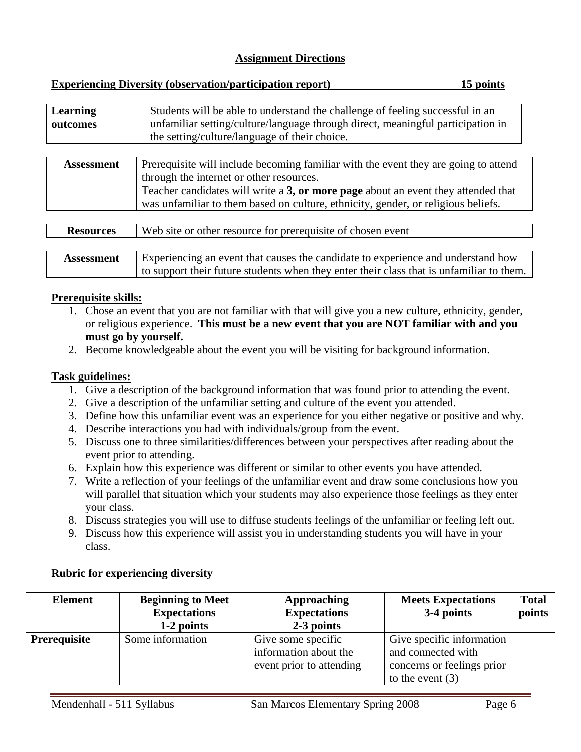| 15 points<br><b>Experiencing Diversity (observation/participation report)</b> |
|-------------------------------------------------------------------------------|
|-------------------------------------------------------------------------------|

| Learning | Students will be able to understand the challenge of feeling successful in an   |
|----------|---------------------------------------------------------------------------------|
| outcomes | unfamiliar setting/culture/language through direct, meaningful participation in |
|          | the setting/culture/language of their choice.                                   |
|          |                                                                                 |

| <b>Assessment</b> | Prerequisite will include becoming familiar with the event they are going to attend |
|-------------------|-------------------------------------------------------------------------------------|
|                   | through the internet or other resources.                                            |
|                   | Teacher candidates will write a 3, or more page about an event they attended that   |
|                   | was unfamiliar to them based on culture, ethnicity, gender, or religious beliefs.   |

| <b>Resources</b>  | Web site or other resource for prerequisite of chosen event                              |
|-------------------|------------------------------------------------------------------------------------------|
|                   |                                                                                          |
| <b>Assessment</b> | Experiencing an event that causes the candidate to experience and understand how         |
|                   | to support their future students when they enter their class that is unfamiliar to them. |

#### **Prerequisite skills:**

- 1. Chose an event that you are not familiar with that will give you a new culture, ethnicity, gender, or religious experience. **This must be a new event that you are NOT familiar with and you must go by yourself.**
- 2. Become knowledgeable about the event you will be visiting for background information.

#### **Task guidelines:**

- 1. Give a description of the background information that was found prior to attending the event.
- 2. Give a description of the unfamiliar setting and culture of the event you attended.
- 3. Define how this unfamiliar event was an experience for you either negative or positive and why.
- 4. Describe interactions you had with individuals/group from the event.
- 5. Discuss one to three similarities/differences between your perspectives after reading about the event prior to attending.
- 6. Explain how this experience was different or similar to other events you have attended.
- 7. Write a reflection of your feelings of the unfamiliar event and draw some conclusions how you will parallel that situation which your students may also experience those feelings as they enter your class.
- 8. Discuss strategies you will use to diffuse students feelings of the unfamiliar or feeling left out.
- 9. Discuss how this experience will assist you in understanding students you will have in your class.

#### **Rubric for experiencing diversity**

| <b>Element</b>      | <b>Beginning to Meet</b><br><b>Expectations</b><br>1-2 points | <b>Approaching</b><br><b>Expectations</b><br>2-3 points                 | <b>Meets Expectations</b><br>3-4 points                                                             | <b>Total</b><br>points |
|---------------------|---------------------------------------------------------------|-------------------------------------------------------------------------|-----------------------------------------------------------------------------------------------------|------------------------|
| <b>Prerequisite</b> | Some information                                              | Give some specific<br>information about the<br>event prior to attending | Give specific information<br>and connected with<br>concerns or feelings prior<br>to the event $(3)$ |                        |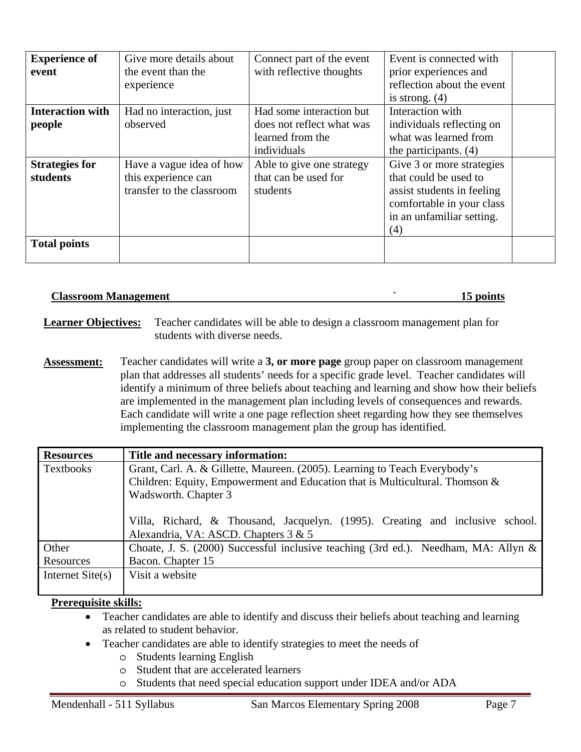| <b>Experience of</b><br>event     | Give more details about<br>the event than the<br>experience                  | Connect part of the event<br>with reflective thoughts                                    | Event is connected with.<br>prior experiences and<br>reflection about the event<br>is strong. $(4)$                                               |  |
|-----------------------------------|------------------------------------------------------------------------------|------------------------------------------------------------------------------------------|---------------------------------------------------------------------------------------------------------------------------------------------------|--|
| <b>Interaction with</b><br>people | Had no interaction, just<br>observed                                         | Had some interaction but<br>does not reflect what was<br>learned from the<br>individuals | Interaction with<br>individuals reflecting on<br>what was learned from<br>the participants. $(4)$                                                 |  |
| <b>Strategies for</b><br>students | Have a vague idea of how<br>this experience can<br>transfer to the classroom | Able to give one strategy<br>that can be used for<br>students                            | Give 3 or more strategies<br>that could be used to<br>assist students in feeling<br>comfortable in your class<br>in an unfamiliar setting.<br>(4) |  |
| <b>Total points</b>               |                                                                              |                                                                                          |                                                                                                                                                   |  |

#### **Classroom Management 15 points 15 points**

**Learner Objectives:** Teacher candidates will be able to design a classroom management plan for students with diverse needs.

**Assessment:** Teacher candidates will write a **3, or more page** group paper on classroom management plan that addresses all students' needs for a specific grade level. Teacher candidates will identify a minimum of three beliefs about teaching and learning and show how their beliefs are implemented in the management plan including levels of consequences and rewards. Each candidate will write a one page reflection sheet regarding how they see themselves implementing the classroom management plan the group has identified.

| <b>Resources</b>   | Title and necessary information:                                                      |  |  |  |  |
|--------------------|---------------------------------------------------------------------------------------|--|--|--|--|
| <b>Textbooks</b>   | Grant, Carl. A. & Gillette, Maureen. (2005). Learning to Teach Everybody's            |  |  |  |  |
|                    | Children: Equity, Empowerment and Education that is Multicultural. Thomson $\&$       |  |  |  |  |
|                    | Wadsworth. Chapter 3                                                                  |  |  |  |  |
|                    |                                                                                       |  |  |  |  |
|                    | Villa, Richard, & Thousand, Jacquelyn. (1995). Creating and inclusive school.         |  |  |  |  |
|                    | Alexandria, VA: ASCD. Chapters 3 & 5                                                  |  |  |  |  |
| Other              | Choate, J. S. (2000) Successful inclusive teaching (3rd ed.). Needham, MA: Allyn $\&$ |  |  |  |  |
| Resources          | Bacon. Chapter 15                                                                     |  |  |  |  |
| Internet $Site(s)$ | Visit a website                                                                       |  |  |  |  |
|                    |                                                                                       |  |  |  |  |

#### **Prerequisite skills:**

- Teacher candidates are able to identify and discuss their beliefs about teaching and learning as related to student behavior.
- Teacher candidates are able to identify strategies to meet the needs of
	- o Students learning English
	- o Student that are accelerated learners
	- o Students that need special education support under IDEA and/or ADA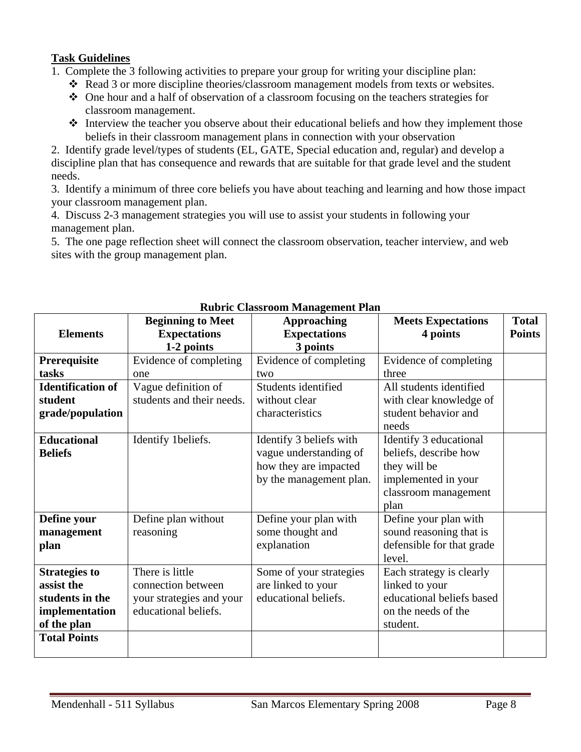#### **Task Guidelines**

- 1. Complete the 3 following activities to prepare your group for writing your discipline plan:
	- Read 3 or more discipline theories/classroom management models from texts or websites.
	- One hour and a half of observation of a classroom focusing on the teachers strategies for classroom management.
	- Interview the teacher you observe about their educational beliefs and how they implement those beliefs in their classroom management plans in connection with your observation

2. Identify grade level/types of students (EL, GATE, Special education and, regular) and develop a discipline plan that has consequence and rewards that are suitable for that grade level and the student needs.

3. Identify a minimum of three core beliefs you have about teaching and learning and how those impact your classroom management plan.

4. Discuss 2-3 management strategies you will use to assist your students in following your management plan.

5. The one page reflection sheet will connect the classroom observation, teacher interview, and web sites with the group management plan.

|                          | <b>Beginning to Meet</b>  | <b>Approaching</b>      | <b>Meets Expectations</b> | <b>Total</b>  |
|--------------------------|---------------------------|-------------------------|---------------------------|---------------|
| <b>Elements</b>          | <b>Expectations</b>       | <b>Expectations</b>     | 4 points                  | <b>Points</b> |
|                          | 1-2 points                | 3 points                |                           |               |
| Prerequisite             | Evidence of completing    | Evidence of completing  | Evidence of completing    |               |
| tasks                    | one                       | two                     | three                     |               |
| <b>Identification of</b> | Vague definition of       | Students identified     | All students identified   |               |
| student                  | students and their needs. | without clear           | with clear knowledge of   |               |
| grade/population         |                           | characteristics         | student behavior and      |               |
|                          |                           |                         | needs                     |               |
| <b>Educational</b>       | Identify 1beliefs.        | Identify 3 beliefs with | Identify 3 educational    |               |
| <b>Beliefs</b>           |                           | vague understanding of  | beliefs, describe how     |               |
|                          |                           | how they are impacted   | they will be              |               |
|                          |                           | by the management plan. | implemented in your       |               |
|                          |                           |                         | classroom management      |               |
|                          |                           |                         | plan                      |               |
| Define your              | Define plan without       | Define your plan with   | Define your plan with     |               |
| management               | reasoning                 | some thought and        | sound reasoning that is   |               |
| plan                     |                           | explanation             | defensible for that grade |               |
|                          |                           |                         | level.                    |               |
| <b>Strategies to</b>     | There is little           | Some of your strategies | Each strategy is clearly  |               |
| assist the               | connection between        | are linked to your      | linked to your            |               |
| students in the          | your strategies and your  | educational beliefs.    | educational beliefs based |               |
| implementation           | educational beliefs.      |                         | on the needs of the       |               |
| of the plan              |                           |                         | student.                  |               |
| <b>Total Points</b>      |                           |                         |                           |               |
|                          |                           |                         |                           |               |

#### **Rubric Classroom Management Plan**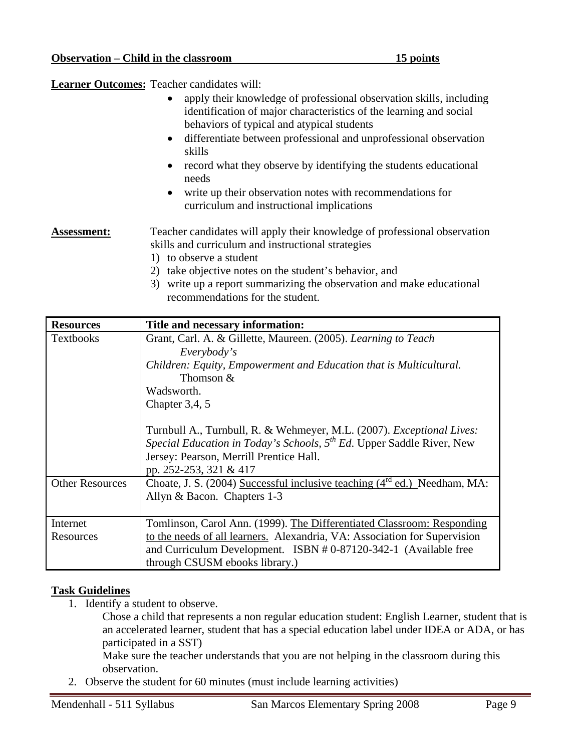**Learner Outcomes:** Teacher candidates will:

- apply their knowledge of professional observation skills, including identification of major characteristics of the learning and social behaviors of typical and atypical students
- differentiate between professional and unprofessional observation skills
- record what they observe by identifying the students educational needs
- write up their observation notes with recommendations for curriculum and instructional implications

Assessment: Teacher candidates will apply their knowledge of professional observation skills and curriculum and instructional strategies

- 1) to observe a student
- 2) take objective notes on the student's behavior, and
- 3) write up a report summarizing the observation and make educational recommendations for the student.

| <b>Resources</b>                                                                       | Title and necessary information:                                                  |
|----------------------------------------------------------------------------------------|-----------------------------------------------------------------------------------|
| <b>Textbooks</b>                                                                       | Grant, Carl. A. & Gillette, Maureen. (2005). Learning to Teach                    |
|                                                                                        | Everybody's                                                                       |
|                                                                                        | Children: Equity, Empowerment and Education that is Multicultural.                |
|                                                                                        | Thomson $&$                                                                       |
|                                                                                        | Wadsworth.                                                                        |
|                                                                                        | Chapter $3,4,5$                                                                   |
|                                                                                        |                                                                                   |
|                                                                                        | Turnbull A., Turnbull, R. & Wehmeyer, M.L. (2007). Exceptional Lives:             |
|                                                                                        | Special Education in Today's Schools, 5 <sup>th</sup> Ed. Upper Saddle River, New |
|                                                                                        | Jersey: Pearson, Merrill Prentice Hall.                                           |
|                                                                                        | pp. 252-253, 321 & 417                                                            |
| <b>Other Resources</b>                                                                 | Choate, J. S. (2004) Successful inclusive teaching $(4^{rd}$ ed.) Needham, MA:    |
|                                                                                        | Allyn & Bacon. Chapters 1-3                                                       |
|                                                                                        |                                                                                   |
| Internet<br>Tomlinson, Carol Ann. (1999). The Differentiated Classroom: Responding     |                                                                                   |
| to the needs of all learners. Alexandria, VA: Association for Supervision<br>Resources |                                                                                   |
|                                                                                        | and Curriculum Development. ISBN # 0-87120-342-1 (Available free                  |
|                                                                                        | through CSUSM ebooks library.)                                                    |

#### **Task Guidelines**

1. Identify a student to observe.

Chose a child that represents a non regular education student: English Learner, student that is an accelerated learner, student that has a special education label under IDEA or ADA, or has participated in a SST)

Make sure the teacher understands that you are not helping in the classroom during this observation.

2. Observe the student for 60 minutes (must include learning activities)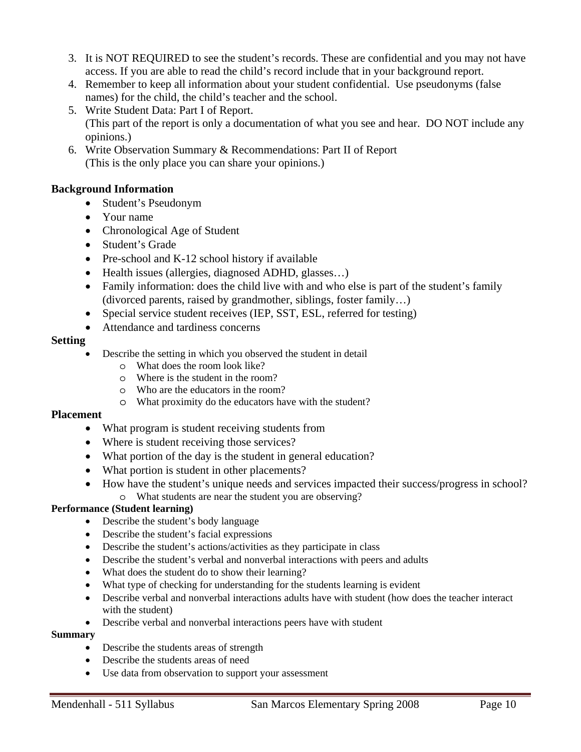- 3. It is NOT REQUIRED to see the student's records. These are confidential and you may not have access. If you are able to read the child's record include that in your background report.
- 4. Remember to keep all information about your student confidential. Use pseudonyms (false names) for the child, the child's teacher and the school.
- 5. Write Student Data: Part I of Report. (This part of the report is only a documentation of what you see and hear. DO NOT include any opinions.)
- 6. Write Observation Summary & Recommendations: Part II of Report (This is the only place you can share your opinions.)

#### **Background Information**

- Student's Pseudonym
- Your name
- Chronological Age of Student
- Student's Grade
- Pre-school and K-12 school history if available
- Health issues (allergies, diagnosed ADHD, glasses...)
- Family information: does the child live with and who else is part of the student's family (divorced parents, raised by grandmother, siblings, foster family…)
- Special service student receives (IEP, SST, ESL, referred for testing)
- Attendance and tardiness concerns

#### **Setting**

- Describe the setting in which you observed the student in detail
	- o What does the room look like?
	- o Where is the student in the room?
	- o Who are the educators in the room?
	- o What proximity do the educators have with the student?

#### **Placement**

- What program is student receiving students from
- Where is student receiving those services?
- What portion of the day is the student in general education?
- What portion is student in other placements?
- How have the student's unique needs and services impacted their success/progress in school? o What students are near the student you are observing?

#### **Performance (Student learning)**

- Describe the student's body language
- Describe the student's facial expressions
- Describe the student's actions/activities as they participate in class
- Describe the student's verbal and nonverbal interactions with peers and adults
- What does the student do to show their learning?
- What type of checking for understanding for the students learning is evident
- Describe verbal and nonverbal interactions adults have with student (how does the teacher interact with the student)
- Describe verbal and nonverbal interactions peers have with student

#### **Summary**

- Describe the students areas of strength
- Describe the students areas of need
- Use data from observation to support your assessment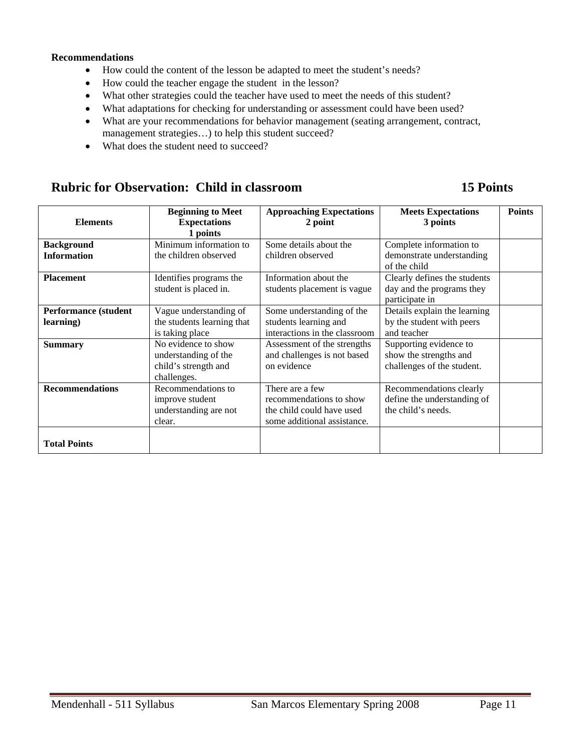#### **Recommendations**

- How could the content of the lesson be adapted to meet the student's needs?
- How could the teacher engage the student in the lesson?
- What other strategies could the teacher have used to meet the needs of this student?
- What adaptations for checking for understanding or assessment could have been used?
- What are your recommendations for behavior management (seating arrangement, contract, management strategies...) to help this student succeed?
- What does the student need to succeed?

## **Rubric for Observation: Child in classroom 15 Points 15 Points**

| <b>Elements</b>                           | <b>Beginning to Meet</b><br><b>Expectations</b><br>1 points                        | <b>Approaching Expectations</b><br>2 point                                                             | <b>Meets Expectations</b><br>3 points                                          | <b>Points</b> |
|-------------------------------------------|------------------------------------------------------------------------------------|--------------------------------------------------------------------------------------------------------|--------------------------------------------------------------------------------|---------------|
| <b>Background</b><br><b>Information</b>   | Minimum information to<br>the children observed                                    | Some details about the<br>children observed                                                            | Complete information to<br>demonstrate understanding<br>of the child           |               |
| <b>Placement</b>                          | Identifies programs the<br>student is placed in.                                   | Information about the<br>students placement is vague                                                   | Clearly defines the students<br>day and the programs they<br>participate in    |               |
| <b>Performance (student)</b><br>learning) | Vague understanding of<br>the students learning that<br>is taking place            | Some understanding of the<br>students learning and<br>interactions in the classroom                    | Details explain the learning<br>by the student with peers<br>and teacher       |               |
| <b>Summary</b>                            | No evidence to show<br>understanding of the<br>child's strength and<br>challenges. | Assessment of the strengths<br>and challenges is not based<br>on evidence                              | Supporting evidence to<br>show the strengths and<br>challenges of the student. |               |
| <b>Recommendations</b>                    | Recommendations to<br>improve student<br>understanding are not<br>clear.           | There are a few<br>recommendations to show<br>the child could have used<br>some additional assistance. | Recommendations clearly<br>define the understanding of<br>the child's needs.   |               |
| <b>Total Points</b>                       |                                                                                    |                                                                                                        |                                                                                |               |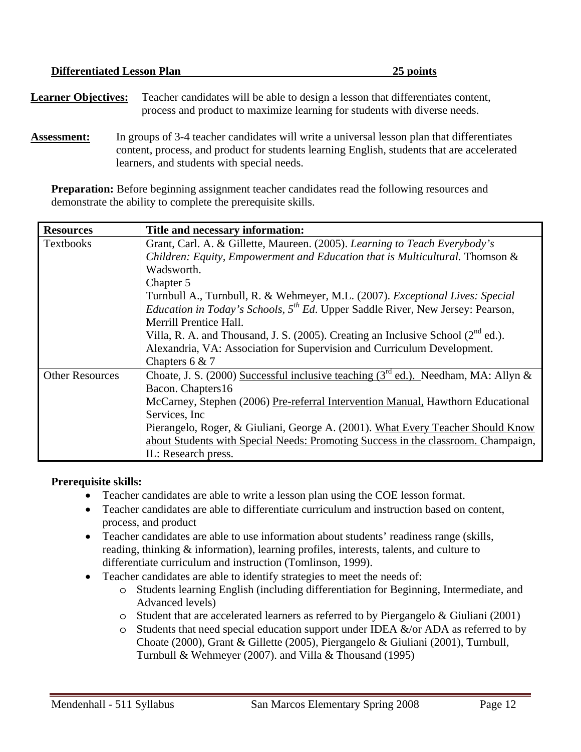| <b>Differentiated Lesson Plan</b> | 25 points                                                                                                                                                                                             |
|-----------------------------------|-------------------------------------------------------------------------------------------------------------------------------------------------------------------------------------------------------|
| <b>Learner Objectives:</b>        | Teacher candidates will be able to design a lesson that differentiates content,<br>process and product to maximize learning for students with diverse needs.                                          |
|                                   | $\mathbf{I}_1$ , and the set of $\mathbf{A}$ denotes the set of $\mathbf{I}_1$ and $\mathbf{I}_2$ , and $\mathbf{I}_3$ are set of $\mathbf{I}_4$ and $\mathbf{I}_5$ $\mathbf{I}_6$ and $\mathbf{I}_7$ |

**Assessment:** In groups of 3-4 teacher candidates will write a universal lesson plan that differentiates content, process, and product for students learning English, students that are accelerated learners, and students with special needs.

**Preparation:** Before beginning assignment teacher candidates read the following resources and demonstrate the ability to complete the prerequisite skills.

| <b>Resources</b>       | Title and necessary information:                                                                  |  |  |
|------------------------|---------------------------------------------------------------------------------------------------|--|--|
| <b>Textbooks</b>       | Grant, Carl. A. & Gillette, Maureen. (2005). Learning to Teach Everybody's                        |  |  |
|                        | Children: Equity, Empowerment and Education that is Multicultural. Thomson &                      |  |  |
|                        | Wadsworth.                                                                                        |  |  |
|                        | Chapter 5                                                                                         |  |  |
|                        | Turnbull A., Turnbull, R. & Wehmeyer, M.L. (2007). <i>Exceptional Lives: Special</i>              |  |  |
|                        | <i>Education in Today's Schools,</i> $5^{th}$ <i>Ed.</i> Upper Saddle River, New Jersey: Pearson, |  |  |
|                        | Merrill Prentice Hall.                                                                            |  |  |
|                        | Villa, R. A. and Thousand, J. S. (2005). Creating an Inclusive School ( $2^{nd}$ ed.).            |  |  |
|                        | Alexandria, VA: Association for Supervision and Curriculum Development.                           |  |  |
|                        | Chapters $6 & 7$                                                                                  |  |  |
| <b>Other Resources</b> | Choate, J. S. (2000) Successful inclusive teaching ( $3^{rd}$ ed.). Needham, MA: Allyn &          |  |  |
|                        | Bacon. Chapters16                                                                                 |  |  |
|                        | McCarney, Stephen (2006) Pre-referral Intervention Manual, Hawthorn Educational                   |  |  |
|                        | Services, Inc.                                                                                    |  |  |
|                        | Pierangelo, Roger, & Giuliani, George A. (2001). What Every Teacher Should Know                   |  |  |
|                        | about Students with Special Needs: Promoting Success in the classroom. Champaign,                 |  |  |
|                        | IL: Research press.                                                                               |  |  |

#### **Prerequisite skills:**

- Teacher candidates are able to write a lesson plan using the COE lesson format.
- Teacher candidates are able to differentiate curriculum and instruction based on content, process, and product
- Teacher candidates are able to use information about students' readiness range (skills, reading, thinking & information), learning profiles, interests, talents, and culture to differentiate curriculum and instruction (Tomlinson, 1999).
- Teacher candidates are able to identify strategies to meet the needs of:
	- o Students learning English (including differentiation for Beginning, Intermediate, and Advanced levels)
	- o Student that are accelerated learners as referred to by Piergangelo & Giuliani (2001)
	- $\circ$  Students that need special education support under IDEA  $\&$ /or ADA as referred to by Choate (2000), Grant & Gillette (2005), Piergangelo & Giuliani (2001), Turnbull, Turnbull & Wehmeyer (2007). and Villa & Thousand (1995)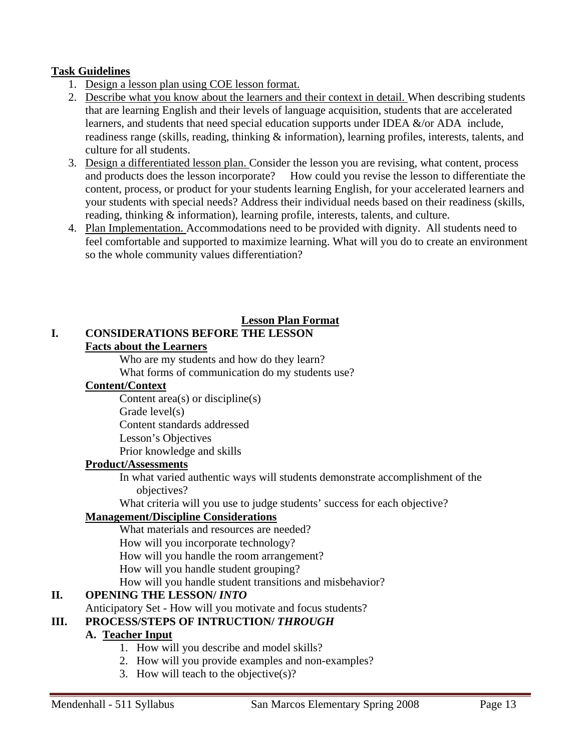#### **Task Guidelines**

- 1. Design a lesson plan using COE lesson format.
- 2. Describe what you know about the learners and their context in detail. When describing students that are learning English and their levels of language acquisition, students that are accelerated learners, and students that need special education supports under IDEA  $&\sqrt{or$  ADA include, readiness range (skills, reading, thinking & information), learning profiles, interests, talents, and culture for all students.
- 3. Design a differentiated lesson plan. Consider the lesson you are revising, what content, process and products does the lesson incorporate? How could you revise the lesson to differentiate the content, process, or product for your students learning English, for your accelerated learners and your students with special needs? Address their individual needs based on their readiness (skills, reading, thinking & information), learning profile, interests, talents, and culture.
- 4. Plan Implementation. Accommodations need to be provided with dignity. All students need to feel comfortable and supported to maximize learning. What will you do to create an environment so the whole community values differentiation?

#### **Lesson Plan Format**

#### **I. CONSIDERATIONS BEFORE THE LESSON Facts about the Learners**

Who are my students and how do they learn?

What forms of communication do my students use?

#### **Content/Context**

Content area(s) or discipline(s)

Grade level(s)

Content standards addressed

Lesson's Objectives

Prior knowledge and skills

#### **Product/Assessments**

In what varied authentic ways will students demonstrate accomplishment of the objectives?

What criteria will you use to judge students' success for each objective?

#### **Management/Discipline Considerations**

What materials and resources are needed? How will you incorporate technology? How will you handle the room arrangement? How will you handle student grouping? How will you handle student transitions and misbehavior?

## **II. OPENING THE LESSON/** *INTO*

Anticipatory Set - How will you motivate and focus students?

## **III.** PROCESS/STEPS OF INTRUCTION/ *THROUGH*

#### **A. Teacher Input**

- 1. How will you describe and model skills?
- 2. How will you provide examples and non-examples?
- 3. How will teach to the objective(s)?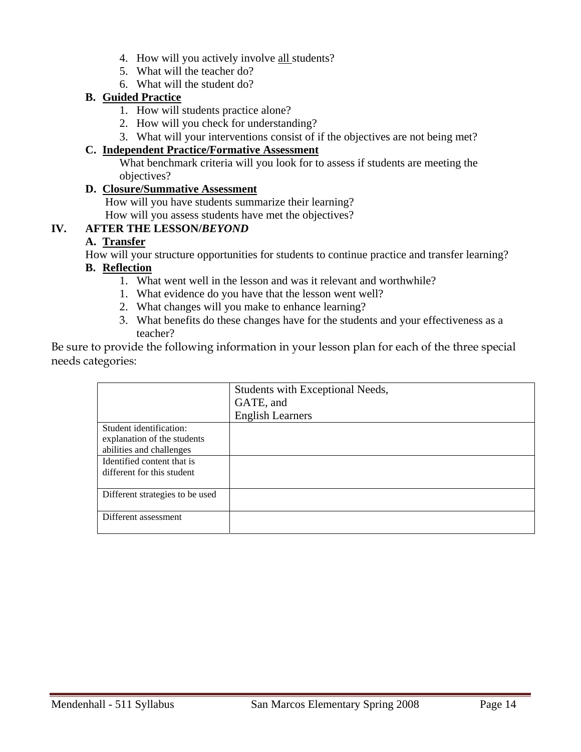- 4. How will you actively involve all students?
- 5. What will the teacher do?
- 6. What will the student do?

## **B. Guided Practice**

- 1. How will students practice alone?
- 2. How will you check for understanding?
- 3. What will your interventions consist of if the objectives are not being met?

#### **C. Independent Practice/Formative Assessment**

What benchmark criteria will you look for to assess if students are meeting the objectives?

#### **D. Closure/Summative Assessment**

How will you have students summarize their learning?

How will you assess students have met the objectives?

## **IV. AFTER THE LESSON/***BEYOND*

#### **A. Transfer**

How will your structure opportunities for students to continue practice and transfer learning?

## **B. Reflection**

- 1. What went well in the lesson and was it relevant and worthwhile?
- 1. What evidence do you have that the lesson went well?
- 2. What changes will you make to enhance learning?
- 3. What benefits do these changes have for the students and your effectiveness as a teacher?

Be sure to provide the following information in your lesson plan for each of the three special needs categories:

|                                 | Students with Exceptional Needs, |
|---------------------------------|----------------------------------|
|                                 | GATE, and                        |
|                                 | <b>English Learners</b>          |
| Student identification:         |                                  |
| explanation of the students     |                                  |
| abilities and challenges        |                                  |
| Identified content that is      |                                  |
| different for this student      |                                  |
|                                 |                                  |
| Different strategies to be used |                                  |
|                                 |                                  |
| Different assessment            |                                  |
|                                 |                                  |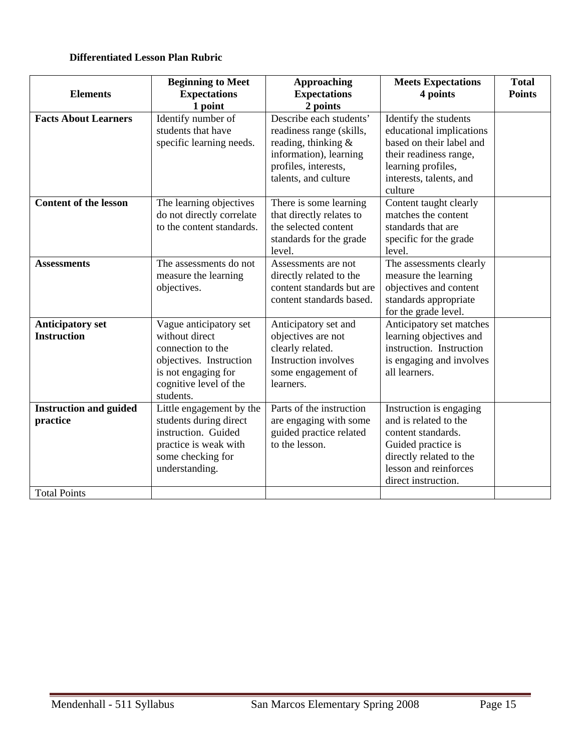#### **Differentiated Lesson Plan Rubric**

| <b>Elements</b>                                                  | <b>Beginning to Meet</b><br><b>Expectations</b><br>1 point                                                                                             | <b>Approaching</b><br><b>Expectations</b><br>2 points                                                                                                | <b>Meets Expectations</b><br>4 points                                                                                                                                   | <b>Total</b><br><b>Points</b> |
|------------------------------------------------------------------|--------------------------------------------------------------------------------------------------------------------------------------------------------|------------------------------------------------------------------------------------------------------------------------------------------------------|-------------------------------------------------------------------------------------------------------------------------------------------------------------------------|-------------------------------|
| <b>Facts About Learners</b>                                      | Identify number of<br>students that have<br>specific learning needs.                                                                                   | Describe each students'<br>readiness range (skills,<br>reading, thinking &<br>information), learning<br>profiles, interests,<br>talents, and culture | Identify the students<br>educational implications<br>based on their label and<br>their readiness range,<br>learning profiles,<br>interests, talents, and<br>culture     |                               |
| <b>Content of the lesson</b>                                     | The learning objectives<br>do not directly correlate<br>to the content standards.                                                                      | There is some learning<br>that directly relates to<br>the selected content<br>standards for the grade<br>level.                                      | Content taught clearly<br>matches the content<br>standards that are<br>specific for the grade<br>level.                                                                 |                               |
| <b>Assessments</b>                                               | The assessments do not<br>measure the learning<br>objectives.                                                                                          | Assessments are not<br>directly related to the<br>content standards but are<br>content standards based.                                              | The assessments clearly<br>measure the learning<br>objectives and content<br>standards appropriate<br>for the grade level.                                              |                               |
| <b>Anticipatory set</b><br><b>Instruction</b>                    | Vague anticipatory set<br>without direct<br>connection to the<br>objectives. Instruction<br>is not engaging for<br>cognitive level of the<br>students. | Anticipatory set and<br>objectives are not<br>clearly related.<br><b>Instruction involves</b><br>some engagement of<br>learners.                     | Anticipatory set matches<br>learning objectives and<br>instruction. Instruction<br>is engaging and involves<br>all learners.                                            |                               |
| <b>Instruction and guided</b><br>practice<br><b>Total Points</b> | Little engagement by the<br>students during direct<br>instruction. Guided<br>practice is weak with<br>some checking for<br>understanding.              | Parts of the instruction<br>are engaging with some<br>guided practice related<br>to the lesson.                                                      | Instruction is engaging<br>and is related to the<br>content standards.<br>Guided practice is<br>directly related to the<br>lesson and reinforces<br>direct instruction. |                               |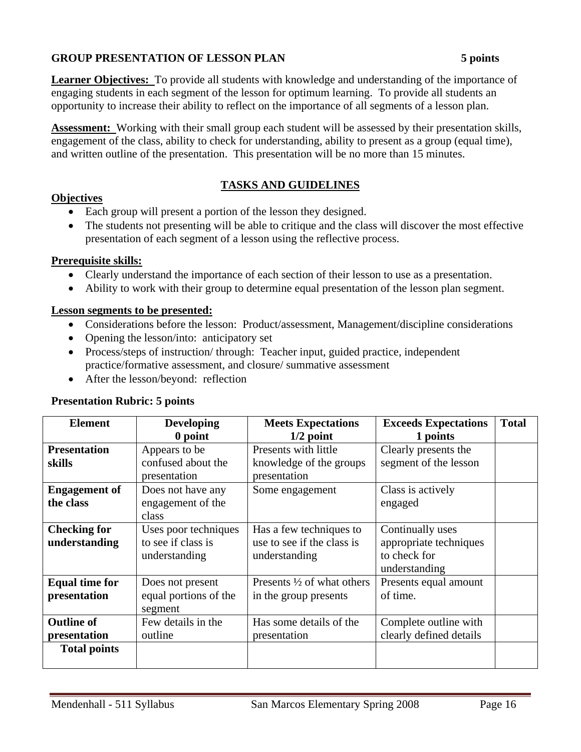#### **GROUP PRESENTATION OF LESSON PLAN 5 points**

**Learner Objectives:** To provide all students with knowledge and understanding of the importance of engaging students in each segment of the lesson for optimum learning. To provide all students an opportunity to increase their ability to reflect on the importance of all segments of a lesson plan.

**Assessment:** Working with their small group each student will be assessed by their presentation skills, engagement of the class, ability to check for understanding, ability to present as a group (equal time), and written outline of the presentation. This presentation will be no more than 15 minutes.

#### **TASKS AND GUIDELINES**

#### **Objectives**

- Each group will present a portion of the lesson they designed.
- The students not presenting will be able to critique and the class will discover the most effective presentation of each segment of a lesson using the reflective process.

#### **Prerequisite skills:**

- Clearly understand the importance of each section of their lesson to use as a presentation.
- Ability to work with their group to determine equal presentation of the lesson plan segment.

#### **Lesson segments to be presented:**

- Considerations before the lesson: Product/assessment, Management/discipline considerations
- Opening the lesson/into: anticipatory set
- Process/steps of instruction/ through: Teacher input, guided practice, independent practice/formative assessment, and closure/ summative assessment
- After the lesson/beyond: reflection

#### **Presentation Rubric: 5 points**

| <b>Element</b>                                           | <b>Developing</b>                                                                                                                  | <b>Meets Expectations</b>                                              | <b>Exceeds Expectations</b>                                                 | <b>Total</b> |
|----------------------------------------------------------|------------------------------------------------------------------------------------------------------------------------------------|------------------------------------------------------------------------|-----------------------------------------------------------------------------|--------------|
|                                                          | 0 point                                                                                                                            | $1/2$ point<br>1 points                                                |                                                                             |              |
| <b>Presentation</b>                                      | Appears to be                                                                                                                      | Presents with little                                                   | Clearly presents the                                                        |              |
| skills                                                   | confused about the                                                                                                                 | knowledge of the groups                                                | segment of the lesson                                                       |              |
|                                                          | presentation                                                                                                                       | presentation                                                           |                                                                             |              |
| <b>Engagement of</b><br>the class                        | Does not have any<br>Class is actively<br>Some engagement<br>engagement of the<br>engaged<br>class                                 |                                                                        |                                                                             |              |
| <b>Checking for</b><br>understanding                     | Uses poor techniques<br>to see if class is<br>understanding                                                                        | Has a few techniques to<br>use to see if the class is<br>understanding | Continually uses<br>appropriate techniques<br>to check for<br>understanding |              |
| <b>Equal time for</b><br>presentation                    | Presents $\frac{1}{2}$ of what others<br>Does not present<br>equal portions of the<br>of time.<br>in the group presents<br>segment |                                                                        | Presents equal amount                                                       |              |
| <b>Outline of</b><br>presentation<br><b>Total points</b> | Few details in the<br>outline                                                                                                      | Has some details of the<br>presentation                                | Complete outline with<br>clearly defined details                            |              |
|                                                          |                                                                                                                                    |                                                                        |                                                                             |              |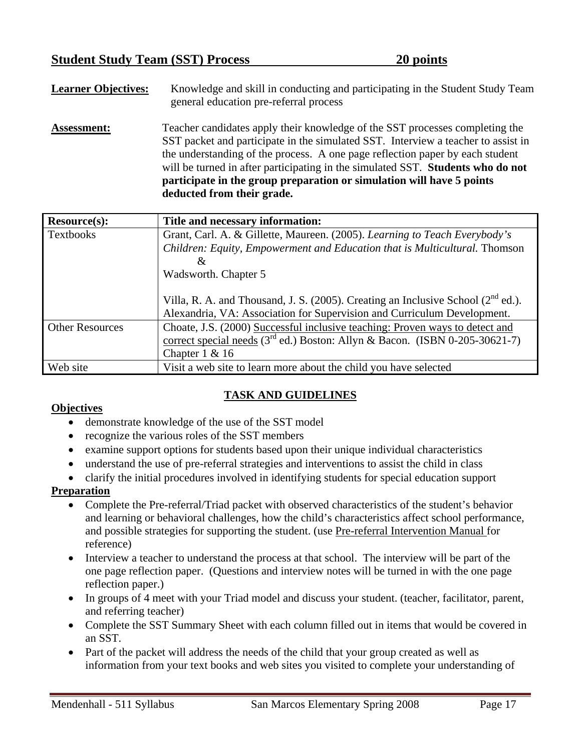**Learner Objectives:** Knowledge and skill in conducting and participating in the Student Study Team general education pre-referral process **Assessment:** Teacher candidates apply their knowledge of the SST processes completing the SST packet and participate in the simulated SST. Interview a teacher to assist in the understanding of the process. A one page reflection paper by each student will be turned in after participating in the simulated SST. **Students who do not participate in the group preparation or simulation will have 5 points deducted from their grade.**

| <b>Resource(s):</b>    | Title and necessary information:                                                       |
|------------------------|----------------------------------------------------------------------------------------|
| <b>Textbooks</b>       | Grant, Carl. A. & Gillette, Maureen. (2005). Learning to Teach Everybody's             |
|                        | Children: Equity, Empowerment and Education that is Multicultural. Thomson             |
|                        | &                                                                                      |
|                        | Wadsworth. Chapter 5                                                                   |
|                        |                                                                                        |
|                        | Villa, R. A. and Thousand, J. S. (2005). Creating an Inclusive School ( $2^{nd}$ ed.). |
|                        | Alexandria, VA: Association for Supervision and Curriculum Development.                |
| <b>Other Resources</b> | Choate, J.S. (2000) Successful inclusive teaching: Proven ways to detect and           |
|                        | correct special needs $(3rd$ ed.) Boston: Allyn & Bacon. (ISBN 0-205-30621-7)          |
|                        | Chapter $1 & 16$                                                                       |
| Web site               | Visit a web site to learn more about the child you have selected                       |

## **TASK AND GUIDELINES**

#### **Objectives**

- demonstrate knowledge of the use of the SST model
- recognize the various roles of the SST members
- examine support options for students based upon their unique individual characteristics
- understand the use of pre-referral strategies and interventions to assist the child in class
- clarify the initial procedures involved in identifying students for special education support

#### **Preparation**

- Complete the Pre-referral/Triad packet with observed characteristics of the student's behavior and learning or behavioral challenges, how the child's characteristics affect school performance, and possible strategies for supporting the student. (use Pre-referral Intervention Manual for reference)
- Interview a teacher to understand the process at that school. The interview will be part of the one page reflection paper. (Questions and interview notes will be turned in with the one page reflection paper.)
- In groups of 4 meet with your Triad model and discuss your student. (teacher, facilitator, parent, and referring teacher)
- Complete the SST Summary Sheet with each column filled out in items that would be covered in an SST.
- Part of the packet will address the needs of the child that your group created as well as information from your text books and web sites you visited to complete your understanding of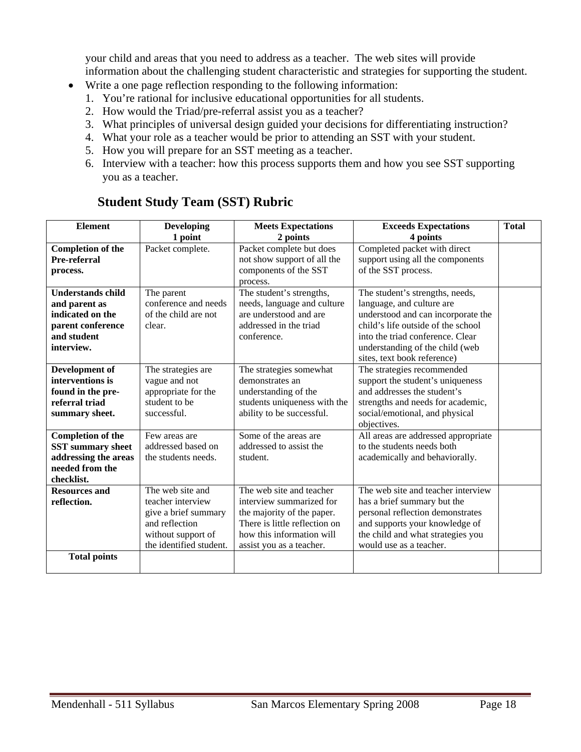your child and areas that you need to address as a teacher. The web sites will provide information about the challenging student characteristic and strategies for supporting the student.

- Write a one page reflection responding to the following information:
	- 1. You're rational for inclusive educational opportunities for all students.
	- 2. How would the Triad/pre-referral assist you as a teacher?
	- 3. What principles of universal design guided your decisions for differentiating instruction?
	- 4. What your role as a teacher would be prior to attending an SST with your student.
	- 5. How you will prepare for an SST meeting as a teacher.
	- 6. Interview with a teacher: how this process supports them and how you see SST supporting you as a teacher.

#### **Element Developing 1 point Meets Expectations 2 points Exceeds Expectations 4 points Completion of the Pre-referral process.**  Packet complete. Packet complete but does not show support of all the components of the SST process. Completed packet with direct support using all the components of the SST process. **Understands child and parent as indicated on the parent conference and student interview.**  The parent conference and needs of the child are not clear. The student's strengths, needs, language and culture are understood and are addressed in the triad conference. The student's strengths, needs, language, and culture are understood and can incorporate the child's life outside of the school into the triad conference. Clear understanding of the child (web sites, text book reference) **Development of interventions is found in the prereferral triad summary sheet.**  The strategies are vague and not appropriate for the student to be successful. The strategies somewhat demonstrates an understanding of the students uniqueness with the ability to be successful. The strategies recommended support the student's uniqueness and addresses the student's strengths and needs for academic, social/emotional, and physical objectives. **Completion of the SST summary sheet addressing the areas needed from the checklist.**  Few areas are addressed based on the students needs. Some of the areas are addressed to assist the student. All areas are addressed appropriate to the students needs both academically and behaviorally. **Resources and reflection.**  The web site and teacher interview give a brief summary and reflection without support of the identified student. The web site and teacher interview summarized for the majority of the paper. There is little reflection on how this information will assist you as a teacher. The web site and teacher interview has a brief summary but the personal reflection demonstrates and supports your knowledge of the child and what strategies you would use as a teacher. **Total points**

## **Student Study Team (SST) Rubric**

**Total**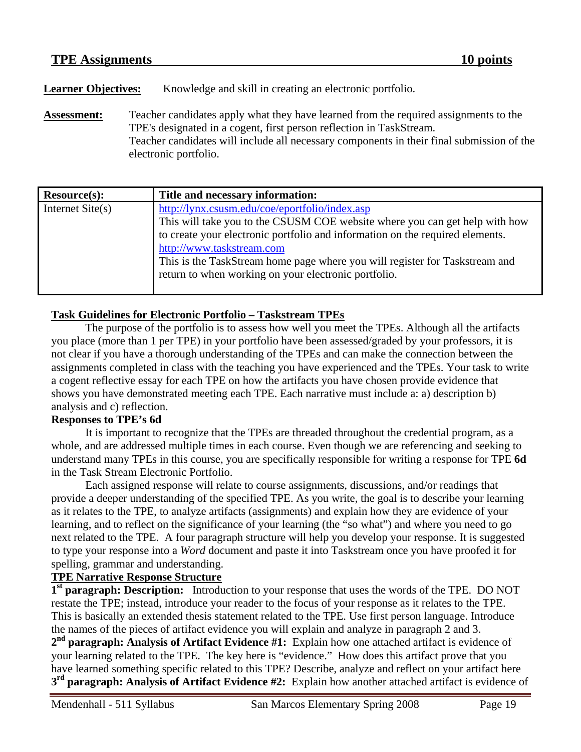**Learner Objectives:** Knowledge and skill in creating an electronic portfolio.

**Assessment:** Teacher candidates apply what they have learned from the required assignments to the TPE's designated in a cogent, first person reflection in TaskStream. Teacher candidates will include all necessary components in their final submission of the electronic portfolio.

| Resource(s):       | Title and necessary information:                                                                                                                                                                                                                                                                                                                                                   |
|--------------------|------------------------------------------------------------------------------------------------------------------------------------------------------------------------------------------------------------------------------------------------------------------------------------------------------------------------------------------------------------------------------------|
| Internet $Site(s)$ | http://lynx.csusm.edu/coe/eportfolio/index.asp<br>This will take you to the CSUSM COE website where you can get help with how<br>to create your electronic portfolio and information on the required elements.<br>http://www.taskstream.com<br>This is the TaskStream home page where you will register for Taskstream and<br>return to when working on your electronic portfolio. |
|                    |                                                                                                                                                                                                                                                                                                                                                                                    |

#### **Task Guidelines for Electronic Portfolio – Taskstream TPEs**

The purpose of the portfolio is to assess how well you meet the TPEs. Although all the artifacts you place (more than 1 per TPE) in your portfolio have been assessed/graded by your professors, it is not clear if you have a thorough understanding of the TPEs and can make the connection between the assignments completed in class with the teaching you have experienced and the TPEs. Your task to write a cogent reflective essay for each TPE on how the artifacts you have chosen provide evidence that shows you have demonstrated meeting each TPE. Each narrative must include a: a) description b) analysis and c) reflection.

#### **Responses to TPE's 6d**

It is important to recognize that the TPEs are threaded throughout the credential program, as a whole, and are addressed multiple times in each course. Even though we are referencing and seeking to understand many TPEs in this course, you are specifically responsible for writing a response for TPE **6d**  in the Task Stream Electronic Portfolio.

Each assigned response will relate to course assignments, discussions, and/or readings that provide a deeper understanding of the specified TPE. As you write, the goal is to describe your learning as it relates to the TPE, to analyze artifacts (assignments) and explain how they are evidence of your learning, and to reflect on the significance of your learning (the "so what") and where you need to go next related to the TPE. A four paragraph structure will help you develop your response. It is suggested to type your response into a *Word* document and paste it into Taskstream once you have proofed it for spelling, grammar and understanding.

#### **TPE Narrative Response Structure**

**1st paragraph: Description:** Introduction to your response that uses the words of the TPE. DO NOT restate the TPE; instead, introduce your reader to the focus of your response as it relates to the TPE. This is basically an extended thesis statement related to the TPE. Use first person language. Introduce the names of the pieces of artifact evidence you will explain and analyze in paragraph 2 and 3.

**2nd paragraph: Analysis of Artifact Evidence #1:** Explain how one attached artifact is evidence of your learning related to the TPE. The key here is "evidence." How does this artifact prove that you have learned something specific related to this TPE? Describe, analyze and reflect on your artifact here **3rd paragraph: Analysis of Artifact Evidence #2:** Explain how another attached artifact is evidence of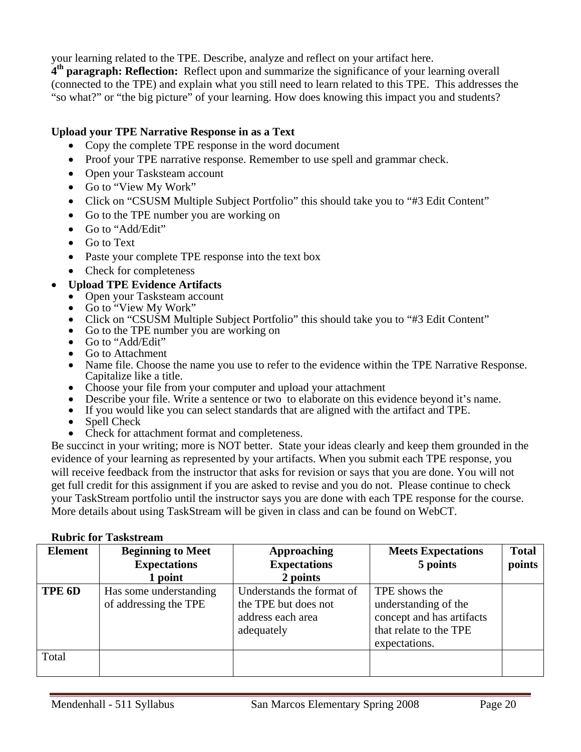your learning related to the TPE. Describe, analyze and reflect on your artifact here.

**4th paragraph: Reflection:** Reflect upon and summarize the significance of your learning overall (connected to the TPE) and explain what you still need to learn related to this TPE. This addresses the "so what?" or "the big picture" of your learning. How does knowing this impact you and students?

#### **Upload your TPE Narrative Response in as a Text**

- Copy the complete TPE response in the word document
- Proof your TPE narrative response. Remember to use spell and grammar check.
- Open your Tasksteam account
- Go to "View My Work"
- Click on "CSUSM Multiple Subject Portfolio" this should take you to "#3 Edit Content"
- Go to the TPE number you are working on
- Go to "Add/Edit"
- Go to Text
- Paste your complete TPE response into the text box
- Check for completeness

#### • **Upload TPE Evidence Artifacts**

- Open your Tasksteam account
- Go to "View My Work"
- Click on "CSUSM Multiple Subject Portfolio" this should take you to "#3 Edit Content"
- Go to the TPE number you are working on
- Go to "Add/Edit"
- Go to Attachment
- Name file. Choose the name you use to refer to the evidence within the TPE Narrative Response. Capitalize like a title.
- Choose your file from your computer and upload your attachment
- Describe your file. Write a sentence or two to elaborate on this evidence beyond it's name.
- If you would like you can select standards that are aligned with the artifact and TPE.
- Spell Check
- Check for attachment format and completeness.

Be succinct in your writing; more is NOT better. State your ideas clearly and keep them grounded in the evidence of your learning as represented by your artifacts. When you submit each TPE response, you will receive feedback from the instructor that asks for revision or says that you are done. You will not get full credit for this assignment if you are asked to revise and you do not. Please continue to check your TaskStream portfolio until the instructor says you are done with each TPE response for the course. More details about using TaskStream will be given in class and can be found on WebCT.

#### **Rubric for Taskstream**

| <b>Element</b> | <b>Beginning to Meet</b><br><b>Expectations</b><br>1 point | <b>Approaching</b><br><b>Expectations</b><br>2 points                                | <b>Meets Expectations</b><br>5 points                                                                         | <b>Total</b><br>points |
|----------------|------------------------------------------------------------|--------------------------------------------------------------------------------------|---------------------------------------------------------------------------------------------------------------|------------------------|
| TPE 6D         | Has some understanding<br>of addressing the TPE            | Understands the format of<br>the TPE but does not<br>address each area<br>adequately | TPE shows the<br>understanding of the<br>concept and has artifacts<br>that relate to the TPE<br>expectations. |                        |
| Total          |                                                            |                                                                                      |                                                                                                               |                        |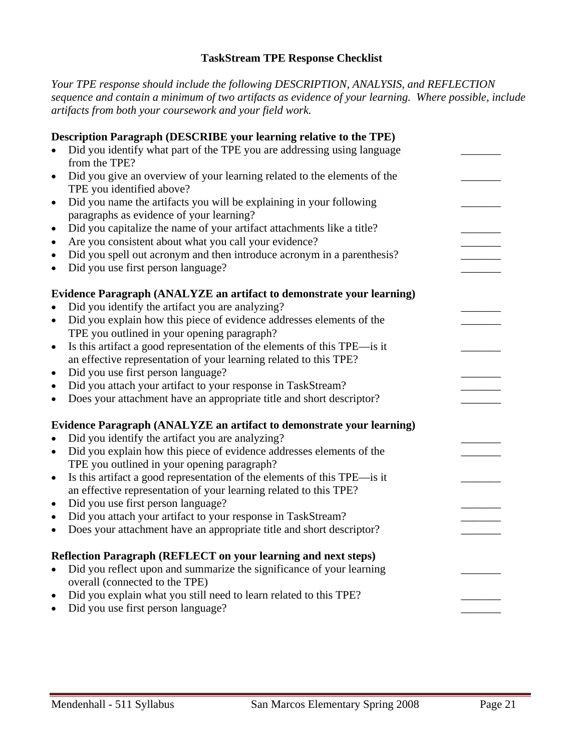#### **TaskStream TPE Response Checklist**

*Your TPE response should include the following DESCRIPTION, ANALYSIS, and REFLECTION sequence and contain a minimum of two artifacts as evidence of your learning. Where possible, include artifacts from both your coursework and your field work.* 

|           | Description Paragraph (DESCRIBE your learning relative to the TPE)       |  |
|-----------|--------------------------------------------------------------------------|--|
|           | Did you identify what part of the TPE you are addressing using language  |  |
|           | from the TPE?                                                            |  |
| $\bullet$ | Did you give an overview of your learning related to the elements of the |  |
|           | TPE you identified above?                                                |  |
| $\bullet$ | Did you name the artifacts you will be explaining in your following      |  |
|           | paragraphs as evidence of your learning?                                 |  |
| $\bullet$ | Did you capitalize the name of your artifact attachments like a title?   |  |
| $\bullet$ | Are you consistent about what you call your evidence?                    |  |
| $\bullet$ | Did you spell out acronym and then introduce acronym in a parenthesis?   |  |
| $\bullet$ | Did you use first person language?                                       |  |
|           | Evidence Paragraph (ANALYZE an artifact to demonstrate your learning)    |  |
| $\bullet$ | Did you identify the artifact you are analyzing?                         |  |
| $\bullet$ | Did you explain how this piece of evidence addresses elements of the     |  |
|           | TPE you outlined in your opening paragraph?                              |  |
| $\bullet$ | Is this artifact a good representation of the elements of this TPE—is it |  |
|           | an effective representation of your learning related to this TPE?        |  |
| $\bullet$ | Did you use first person language?                                       |  |
| $\bullet$ | Did you attach your artifact to your response in TaskStream?             |  |
| $\bullet$ | Does your attachment have an appropriate title and short descriptor?     |  |
|           | Evidence Paragraph (ANALYZE an artifact to demonstrate your learning)    |  |
| $\bullet$ | Did you identify the artifact you are analyzing?                         |  |
| $\bullet$ | Did you explain how this piece of evidence addresses elements of the     |  |
|           | TPE you outlined in your opening paragraph?                              |  |
| $\bullet$ | Is this artifact a good representation of the elements of this TPE—is it |  |
|           | an effective representation of your learning related to this TPE?        |  |
| $\bullet$ | Did you use first person language?                                       |  |
| $\bullet$ | Did you attach your artifact to your response in TaskStream?             |  |
| $\bullet$ | Does your attachment have an appropriate title and short descriptor?     |  |
|           | Reflection Paragraph (REFLECT on your learning and next steps)           |  |
| $\bullet$ | Did you reflect upon and summarize the significance of your learning     |  |
|           | overall (connected to the TPE)                                           |  |
| $\bullet$ | Did you explain what you still need to learn related to this TPE?        |  |
| $\bullet$ | Did you use first person language?                                       |  |